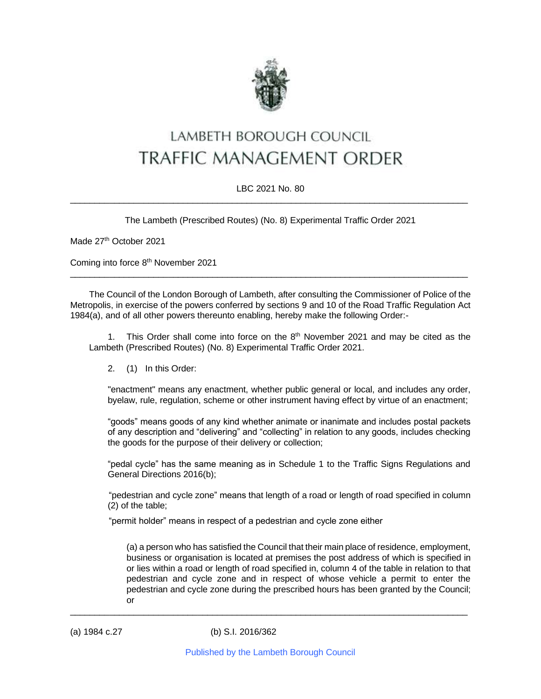

## LAMBETH BOROUGH COUNCIL **TRAFFIC MANAGEMENT ORDER**

## LBC 2021 No. 80 \_\_\_\_\_\_\_\_\_\_\_\_\_\_\_\_\_\_\_\_\_\_\_\_\_\_\_\_\_\_\_\_\_\_\_\_\_\_\_\_\_\_\_\_\_\_\_\_\_\_\_\_\_\_\_\_\_\_\_\_\_\_\_\_\_\_\_\_\_\_\_\_\_\_\_\_\_\_\_\_\_

The Lambeth (Prescribed Routes) (No. 8) Experimental Traffic Order 2021

Made 27<sup>th</sup> October 2021

Coming into force 8<sup>th</sup> November 2021

The Council of the London Borough of Lambeth, after consulting the Commissioner of Police of the Metropolis, in exercise of the powers conferred by sections 9 and 10 of the Road Traffic Regulation Act 1984(a), and of all other powers thereunto enabling, hereby make the following Order:-

\_\_\_\_\_\_\_\_\_\_\_\_\_\_\_\_\_\_\_\_\_\_\_\_\_\_\_\_\_\_\_\_\_\_\_\_\_\_\_\_\_\_\_\_\_\_\_\_\_\_\_\_\_\_\_\_\_\_\_\_\_\_\_\_\_\_\_\_\_\_\_\_\_\_\_\_\_\_\_\_\_

1. This Order shall come into force on the  $8<sup>th</sup>$  November 2021 and may be cited as the Lambeth (Prescribed Routes) (No. 8) Experimental Traffic Order 2021.

2. (1) In this Order:

"enactment" means any enactment, whether public general or local, and includes any order, byelaw, rule, regulation, scheme or other instrument having effect by virtue of an enactment;

"goods" means goods of any kind whether animate or inanimate and includes postal packets of any description and "delivering" and "collecting" in relation to any goods, includes checking the goods for the purpose of their delivery or collection;

"pedal cycle" has the same meaning as in Schedule 1 to the Traffic Signs Regulations and General Directions 2016(b);

"pedestrian and cycle zone" means that length of a road or length of road specified in column (2) of the table;

"permit holder" means in respect of a pedestrian and cycle zone either

(a) a person who has satisfied the Council that their main place of residence, employment, business or organisation is located at premises the post address of which is specified in or lies within a road or length of road specified in, column 4 of the table in relation to that pedestrian and cycle zone and in respect of whose vehicle a permit to enter the pedestrian and cycle zone during the prescribed hours has been granted by the Council; or

\_\_\_\_\_\_\_\_\_\_\_\_\_\_\_\_\_\_\_\_\_\_\_\_\_\_\_\_\_\_\_\_\_\_\_\_\_\_\_\_\_\_\_\_\_\_\_\_\_\_\_\_\_\_\_\_\_\_\_\_\_\_\_\_\_\_\_\_\_\_\_\_\_\_\_\_\_\_\_\_\_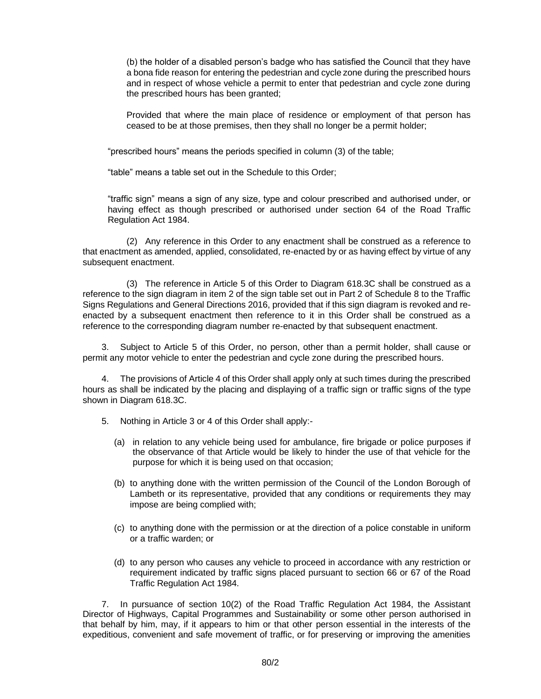(b) the holder of a disabled person's badge who has satisfied the Council that they have a bona fide reason for entering the pedestrian and cycle zone during the prescribed hours and in respect of whose vehicle a permit to enter that pedestrian and cycle zone during the prescribed hours has been granted;

Provided that where the main place of residence or employment of that person has ceased to be at those premises, then they shall no longer be a permit holder;

"prescribed hours" means the periods specified in column (3) of the table;

"table" means a table set out in the Schedule to this Order;

"traffic sign" means a sign of any size, type and colour prescribed and authorised under, or having effect as though prescribed or authorised under section 64 of the Road Traffic Regulation Act 1984.

(2) Any reference in this Order to any enactment shall be construed as a reference to that enactment as amended, applied, consolidated, re-enacted by or as having effect by virtue of any subsequent enactment.

(3) The reference in Article 5 of this Order to Diagram 618.3C shall be construed as a reference to the sign diagram in item 2 of the sign table set out in Part 2 of Schedule 8 to the Traffic Signs Regulations and General Directions 2016, provided that if this sign diagram is revoked and reenacted by a subsequent enactment then reference to it in this Order shall be construed as a reference to the corresponding diagram number re-enacted by that subsequent enactment.

3. Subject to Article 5 of this Order, no person, other than a permit holder, shall cause or permit any motor vehicle to enter the pedestrian and cycle zone during the prescribed hours.

4. The provisions of Article 4 of this Order shall apply only at such times during the prescribed hours as shall be indicated by the placing and displaying of a traffic sign or traffic signs of the type shown in Diagram 618.3C.

- 5. Nothing in Article 3 or 4 of this Order shall apply:-
	- (a) in relation to any vehicle being used for ambulance, fire brigade or police purposes if the observance of that Article would be likely to hinder the use of that vehicle for the purpose for which it is being used on that occasion;
	- (b) to anything done with the written permission of the Council of the London Borough of Lambeth or its representative, provided that any conditions or requirements they may impose are being complied with;
	- (c) to anything done with the permission or at the direction of a police constable in uniform or a traffic warden; or
	- (d) to any person who causes any vehicle to proceed in accordance with any restriction or requirement indicated by traffic signs placed pursuant to section 66 or 67 of the Road Traffic Regulation Act 1984.

7. In pursuance of section 10(2) of the Road Traffic Regulation Act 1984, the Assistant Director of Highways, Capital Programmes and Sustainability or some other person authorised in that behalf by him, may, if it appears to him or that other person essential in the interests of the expeditious, convenient and safe movement of traffic, or for preserving or improving the amenities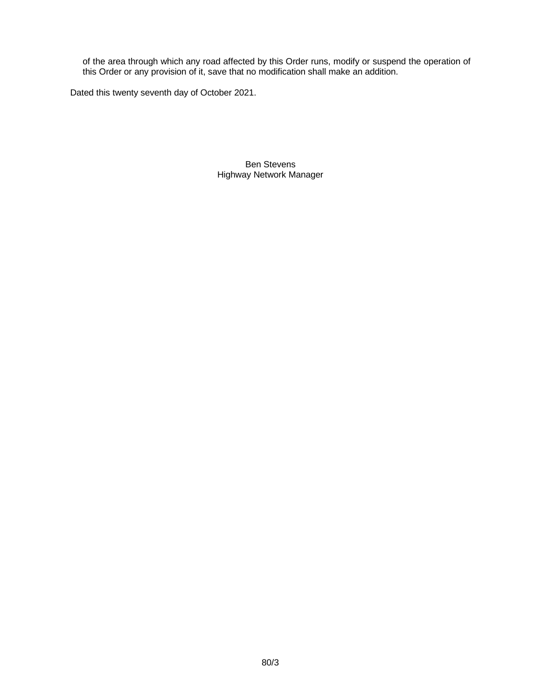of the area through which any road affected by this Order runs, modify or suspend the operation of this Order or any provision of it, save that no modification shall make an addition.

Dated this twenty seventh day of October 2021.

Ben Stevens Highway Network Manager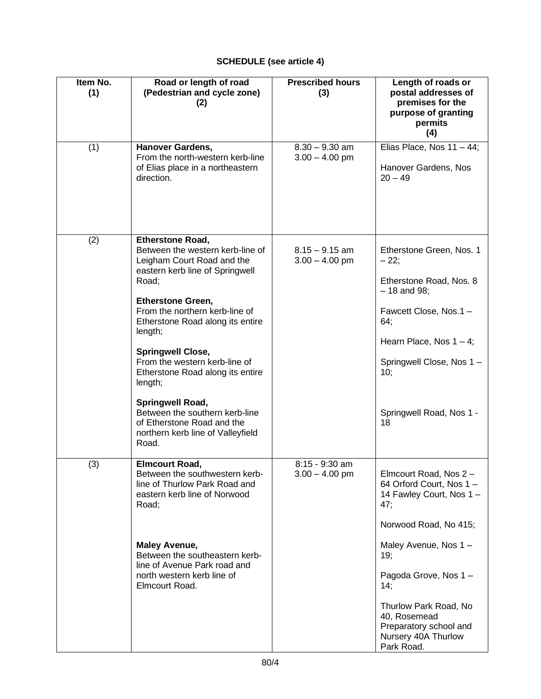## **SCHEDULE (see article 4)**

| Item No.<br>(1) | Road or length of road<br>(Pedestrian and cycle zone)<br>(2)                                                                                                                                                                                                                                                                                                                                                                                                                                     | <b>Prescribed hours</b><br>(3)       | Length of roads or<br>postal addresses of<br>premises for the<br>purpose of granting<br>permits<br>(4)                                                                                                                                                                            |
|-----------------|--------------------------------------------------------------------------------------------------------------------------------------------------------------------------------------------------------------------------------------------------------------------------------------------------------------------------------------------------------------------------------------------------------------------------------------------------------------------------------------------------|--------------------------------------|-----------------------------------------------------------------------------------------------------------------------------------------------------------------------------------------------------------------------------------------------------------------------------------|
| (1)             | <b>Hanover Gardens,</b><br>From the north-western kerb-line<br>of Elias place in a northeastern<br>direction.                                                                                                                                                                                                                                                                                                                                                                                    | $8.30 - 9.30$ am<br>$3.00 - 4.00$ pm | Elias Place, Nos 11 - 44;<br>Hanover Gardens, Nos<br>$20 - 49$                                                                                                                                                                                                                    |
| (2)             | <b>Etherstone Road,</b><br>Between the western kerb-line of<br>Leigham Court Road and the<br>eastern kerb line of Springwell<br>Road;<br><b>Etherstone Green,</b><br>From the northern kerb-line of<br>Etherstone Road along its entire<br>length;<br><b>Springwell Close,</b><br>From the western kerb-line of<br>Etherstone Road along its entire<br>length;<br>Springwell Road,<br>Between the southern kerb-line<br>of Etherstone Road and the<br>northern kerb line of Valleyfield<br>Road. | $8.15 - 9.15$ am<br>$3.00 - 4.00$ pm | Etherstone Green, Nos. 1<br>- 22;<br>Etherstone Road, Nos. 8<br>$-18$ and 98;<br>Fawcett Close, Nos.1 -<br>64;<br>Hearn Place, Nos $1 - 4$ ;<br>Springwell Close, Nos 1-<br>10;<br>Springwell Road, Nos 1 -<br>18                                                                 |
| (3)             | <b>Elmcourt Road,</b><br>Between the southwestern kerb-<br>line of Thurlow Park Road and<br>eastern kerb line of Norwood<br>Road;<br><b>Maley Avenue,</b><br>Between the southeastern kerb-<br>line of Avenue Park road and<br>north western kerb line of<br>Elmcourt Road.                                                                                                                                                                                                                      | $8:15 - 9:30$ am<br>$3.00 - 4.00$ pm | Elmcourt Road, Nos 2-<br>64 Orford Court, Nos 1-<br>14 Fawley Court, Nos 1-<br>47;<br>Norwood Road, No 415;<br>Maley Avenue, Nos 1-<br>19;<br>Pagoda Grove, Nos 1-<br>14:<br>Thurlow Park Road, No<br>40, Rosemead<br>Preparatory school and<br>Nursery 40A Thurlow<br>Park Road. |